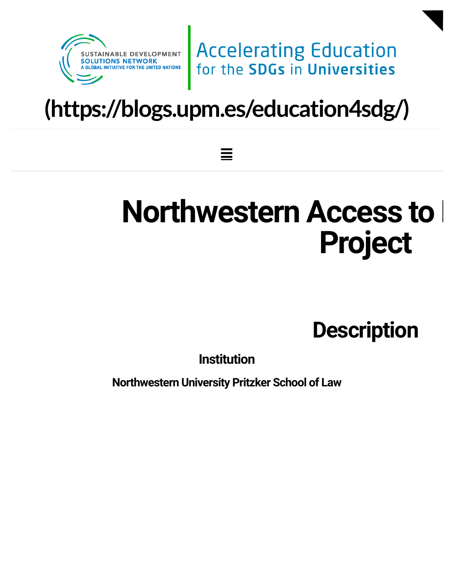

**Accelerating Education** for the SDGs in Universities

# **[\(https://blogs.upm.es/education4sdg/\)](https://blogs.upm.es/education4sdg/)**

≣

# **Northwestern Access to H Project**

**Description**

**Institution**

**Northwestern University Pritzker School of Law**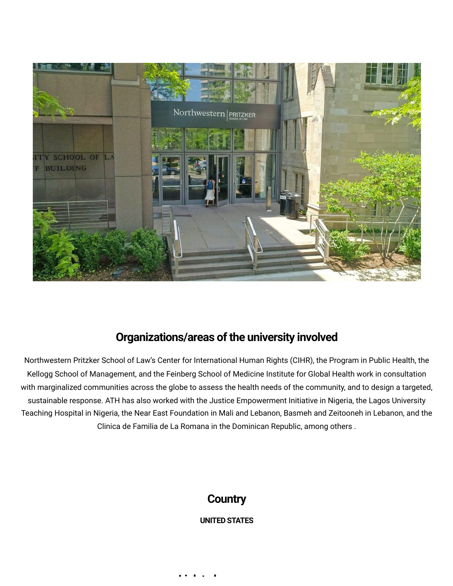

### **Organizations/areas of the university involved**

Northwestern Pritzker School of Law's Center for International Human Rights (CIHR), the Program in Public Health, the Kellogg School of Management, and the Feinberg School of Medicine Institute for Global Health work in consultation with marginalized communities across the globe to assess the health needs of the community, and to design a targeted, sustainable response. ATH has also worked with the Justice Empowerment Initiative in Nigeria, the Lagos University Teaching Hospital in Nigeria, the Near East Foundation in Mali and Lebanon, Basmeh and Zeitooneh in Lebanon, and the Clinica de Familia de La Romana in the Dominican Republic, among others .

### **Country**

### **UNITED STATES**

**[Li](https://www.law.northwestern.edu/legalclinic/humanrights/projects/access-to-health/) k t l**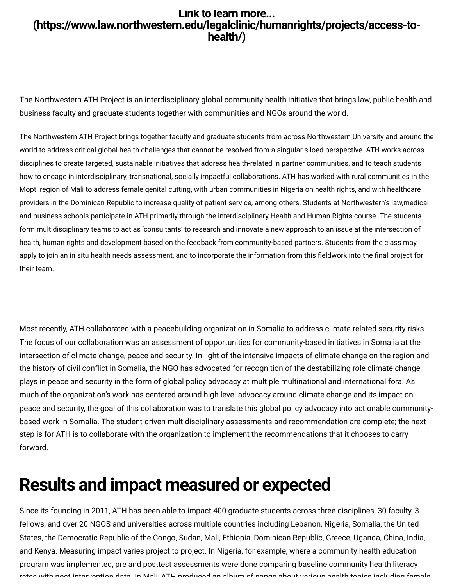### **Link to learn more... (https://www.law.northwestern.edu/legalclinic/humanrights/projects/access-tohealth/)**

The Northwestern ATH Project is an interdisciplinary global community health initiative that brings law, public health and business faculty and graduate students together with communities and NGOs around the world.

The Northwestern ATH Project brings together faculty and graduate students from across Northwestern University and around the world to address critical global health challenges that cannot be resolved from a singular siloed perspective. ATH works across disciplines to create targeted, sustainable initiatives that address health-related in partner communities, and to teach students how to engage in interdisciplinary, transnational, socially impactful collaborations. ATH has worked with rural communities in the Mopti region of Mali to address female genital cutting, with urban communities in Nigeria on health rights, and with healthcare providers in the Dominican Republic to increase quality of patient service, among others. Students at Northwestern's law,medical and business schools participate in ATH primarily through the interdisciplinary Health and Human Rights course. The students form multidisciplinary teams to act as 'consultants' to research and innovate a new approach to an issue at the intersection of health, human rights and development based on the feedback from community-based partners. Students from the class may **LITIR TO LEATH MOTEL THE METHAM SURFAL CONSERVANT CONSERVANT CONSERVANT CONSERVANT CONSERVANT CONSERVANT CONSERVANT CONSERVANT CONSERVANT CONSERVANT CONSERVANT AND USING A DEVIDENT CONSERVANT CONSERVANT ON THE NOTIFIEM AN** their team. **EINT K to learn more....**<br> **Chittips://www.law.northwestern.edu/legalclinic/humanrights/projects/access-to-healthing**<br>
The Northwestern ATH Project is an interdisciplinary global community health initiative that brings la

Most recently, ATH collaborated with a peacebuilding organization in Somalia to address climate-related security risks. The focus of our collaboration was an assessment of opportunities for community-based initiatives in Somalia at the intersection of climate change, peace and security. In light of the intensive impacts of climate change on the region and plays in peace and security in the form of global policy advocacy at multiple multinational and international fora. As much of the organization's work has centered around high level advocacy around climate change and its impact on peace and security, the goal of this collaboration was to translate this global policy advocacy into actionable communitybased work in Somalia. The student-driven multidisciplinary assessments and recommendation are complete; the next step is for ATH is to collaborate with the organization to implement the recommendations that it chooses to carry forward.

### **Results and impact measured or expected**

Since its founding in 2011, ATH has been able to impact 400 graduate students across three disciplines, 30 faculty, 3 fellows, and over 20 NGOS and universities across multiple countries including Lebanon, Nigeria, Somalia, the United States, the Democratic Republic of the Congo, Sudan, Mali, Ethiopia, Dominican Republic, Greece, Uganda, China, India, and Kenya. Measuring impact varies project to project. In Nigeria, for example, where a community health education program was implemented, pre and posttest assessments were done comparing baseline community health literacy rates with post intervention data In Mali ATH produced an album of songs about various health topics including female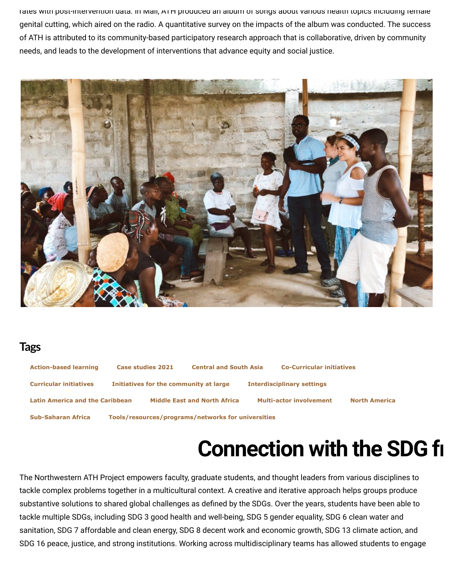rates with post-intervention data. In Mali, ATH produced an album or songs about various health topics including female genital cutting, which aired on the radio. A quantitative survey on the impacts of the album was conducted. The success of ATH is attributed to its community-based participatory research approach that is collaborative, driven by community needs, and leads to the development of interventions that advance equity and social justice.



### **Tags**

| <b>Action-based learning</b>                                                    | Case studies 2021                      | <b>Central and South Asia</b>       |  | <b>Co-Curricular initiatives</b>  |                      |
|---------------------------------------------------------------------------------|----------------------------------------|-------------------------------------|--|-----------------------------------|----------------------|
| <b>Curricular initiatives</b>                                                   | Initiatives for the community at large |                                     |  | <b>Interdisciplinary settings</b> |                      |
| <b>Latin America and the Caribbean</b>                                          |                                        | <b>Middle East and North Africa</b> |  | <b>Multi-actor involvement</b>    | <b>North America</b> |
| Tools/resources/programs/networks for universities<br><b>Sub-Saharan Africa</b> |                                        |                                     |  |                                   |                      |

**Connection with the SDG fr**

The Northwestern ATH Project empowers faculty, graduate students, and thought leaders from various disciplines to tackle complex problems together in a multicultural context. A creative and iterative approach helps groups produce **CONNECTION WITH The Northwestern ATH Project empowers faculty, graduate students, and thought leaders from various disciplines to<br>tackle complex problems together in a multicultural context. A creative and iterative appro** tackle multiple SDGs, including SDG 3 good health and well-being, SDG 5 gender equality, SDG 6 clean water and sanitation, SDG 7 affordable and clean energy, SDG 8 decent work and economic growth, SDG 13 climate action, and SDG 16 peace, justice, and strong institutions. Working across multidisciplinary teams has allowed students to engage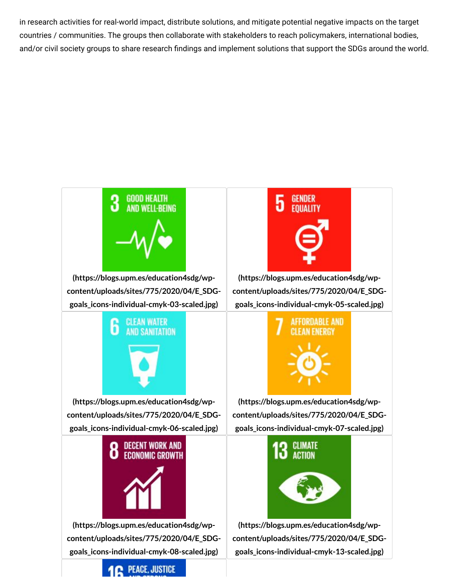in research activities for real-world impact, distribute solutions, and mitigate potential negative impacts on the target countries / communities. The groups then collaborate with stakeholders to reach policymakers, international bodies,



**(https://blogs.upm.es/education4sdg/wpcontent/uploads/sites/775/2020/04/E\_SDGgoals\_icons-individual-cmyk-03-scaled.jpg)**



**(https://blogs.upm.es/education4sdg/wpcontent/uploads/sites/775/2020/04/E\_SDGgoals\_icons-individual-cmyk-06-scaled.jpg)**



**(https://blogs.upm.es/education4sdg/wp[content/uploads/sites/775/2020/04/E\\_SDG](https://blogs.upm.es/education4sdg/wp-content/uploads/sites/775/2020/04/E_SDG-goals_icons-individual-cmyk-08-scaled.jpg)goals\_icons-individual-cmyk-08-scaled.jpg)**



**(https://blogs.upm.es/education4sdg/wpcontent/uploads/sites/775/2020/04/E\_SDGgoals\_icons-individual-cmyk-05-scaled.jpg)**



**(https://blogs.upm.es/education4sdg/wpcontent/uploads/sites/775/2020/04/E\_SDGgoals\_icons-individual-cmyk-07-scaled.jpg)**



**(https://blogs.upm.es/education4sdg/wp[content/uploads/sites/775/2020/04/E\\_SDG](https://blogs.upm.es/education4sdg/wp-content/uploads/sites/775/2020/04/E_SDG-goals_icons-individual-cmyk-13-scaled.jpg)goals\_icons-individual-cmyk-13-scaled.jpg)**

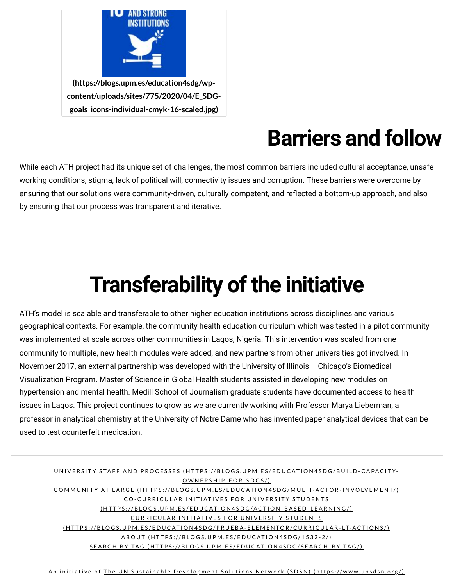

## **Barriers and follow**

While each ATH project had its unique set of challenges, the most common barriers included cultural acceptance, unsafe working conditions, stigma, lack of political will, connectivity issues and corruption. These barriers were overcome by by ensuring that our process was transparent and iterative.

# **Transferability of the initiative**

ensuring that our solutions were community-driven, culturally competent, and reflected a bottom-up approach, and also<br>by ensuring that our process was transparent and iterative.<br>ATH's model is scalable and transferable to ATH's model is scalable and transferable to other higher education institutions across disciplines and various geographical contexts. For example, the community health education curriculum which was tested in a pilot community was implemented at scale across other communities in Lagos, Nigeria. This intervention was scaled from one community to multiple, new health modules were added, and new partners from other universities got involved. In November 2017, an external partnership was developed with the University of Illinois – Chicago's Biomedical Visualization Program. Master of Science in Global Health students assisted in developing new modules on hypertension and mental health. Medill School of Journalism graduate students have documented access to health issues in Lagos. This project continues to grow as we are currently working with Professor Marya Lieberman, a professor in analytical chemistry at the University of Notre Dame who has invented paper analytical devices that can be used to test counterfeit medication.

#### UNIVERSITY STAFF AND PROCESSES (HTTPS://BLOGS.UPM.ES/EDUCATION4SDG/BUILD-CA[PA](https://blogs.upm.es/education4sdg/build-capacity-ownership-for-sdgs/)CITY-OWNERSHIP-FOR-SDGS/) COMMUNITY AT LARGE (HTTPS://BLOGS.UPM.ES/EDUCATION4SDG/MULTI-AC[TO](https://blogs.upm.es/education4sdg/multi-actor-involvement/)R-INVOLVEMENT/) CO-CURRICULAR INITI[AT](https://blogs.upm.es/education4sdg/action-based-learning/)IVES FOR UNIVERSITY STUDENTS (HTTPS://BLOGS.UPM.ES/EDUCATION4SDG/ACTION-BASED-LEARNING/) CURRICULAR INITIATIVES FOR UNIVERSITY STUDENTS (HTTPS://BLOGS.UPM.ES/EDUCATION4SDG/PRUEBA-ELEMENTOR/CURRICULAR-[LT-](https://blogs.upm.es/education4sdg/prueba-elementor/curricular-lt-actions/)ACTIONS/) A BOUT (HTTPS://BLOGS.UPM.ES/EDUC[AT](https://blogs.upm.es/education4sdg/1532-2/)ION4SDG/1532-2/) SEARCH BY TAG (HTTPS://BLOGS.UPM.ES/EDUCATION4SDG/SEARCH-B[Y-TA](https://blogs.upm.es/education4sdg/search-by-tag/)G/)

An initiative of The UN Sustainable Development [Solut](https://www.unsdsn.org/)ions Network (SDSN) (https://www.unsdsn.org/)